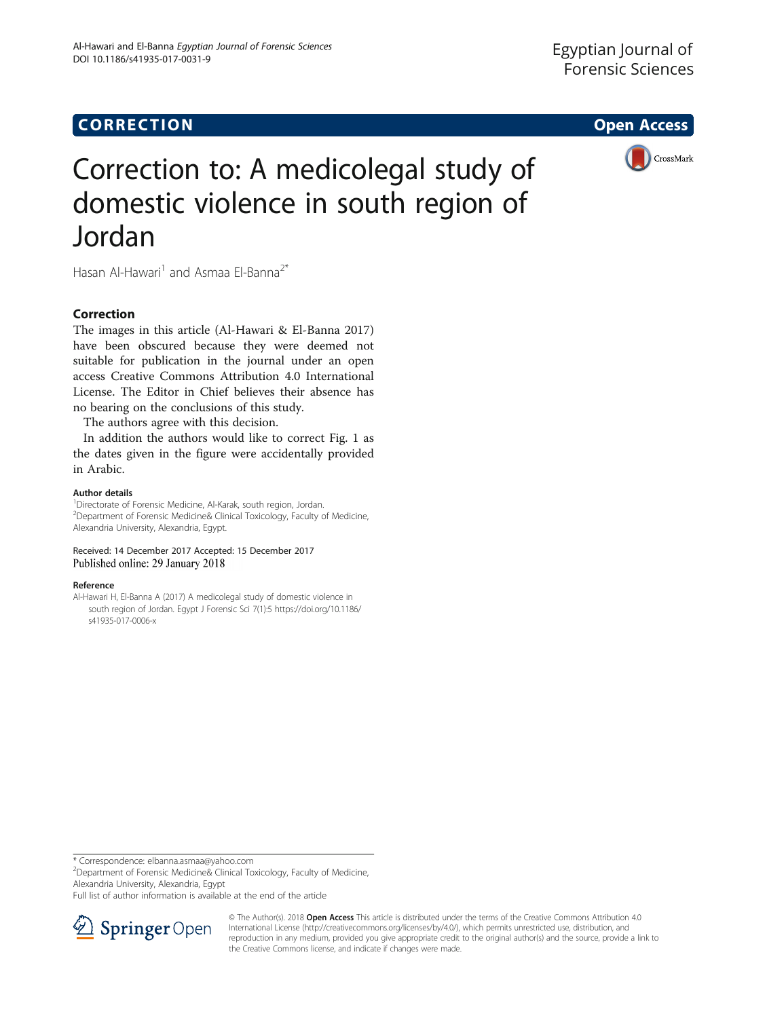

# Correction to: A medicolegal study of domestic violence in south region of Jordan

Hasan Al-Hawari<sup>1</sup> and Asmaa El-Banna<sup>2\*</sup>

# Correction

The images in this article (Al-Hawari & El-Banna 2017) have been obscured because they were deemed not suitable for publication in the journal under an open access Creative Commons Attribution 4.0 International License. The Editor in Chief believes their absence has no bearing on the conclusions of this study.

The authors agree with this decision.

In addition the authors would like to correct Fig. [1](#page-1-0) as the dates given in the figure were accidentally provided in Arabic.

## Author details

<sup>1</sup>Directorate of Forensic Medicine, Al-Karak, south region, Jordan. 2 Department of Forensic Medicine& Clinical Toxicology, Faculty of Medicine, Alexandria University, Alexandria, Egypt.

Received: 14 December 2017 Accepted: 15 December 2017 Published online: 29 January 2018

## Reference

Al-Hawari H, El-Banna A (2017) A medicolegal study of domestic violence in south region of Jordan. Egypt J Forensic Sci 7(1):5 [https://doi.org/10.1186/](http://dx.doi.org/10.1186/s41935-017-0006-x) [s41935-017-0006-x](http://dx.doi.org/10.1186/s41935-017-0006-x)

\* Correspondence: [elbanna.asmaa@yahoo.com](mailto:elbanna.asmaa@yahoo.com) <sup>2</sup>

<sup>2</sup>Department of Forensic Medicine& Clinical Toxicology, Faculty of Medicine, Alexandria University, Alexandria, Egypt

Full list of author information is available at the end of the article



© The Author(s). 2018 Open Access This article is distributed under the terms of the Creative Commons Attribution 4.0 International License ([http://creativecommons.org/licenses/by/4.0/\)](http://creativecommons.org/licenses/by/4.0/), which permits unrestricted use, distribution, and reproduction in any medium, provided you give appropriate credit to the original author(s) and the source, provide a link to the Creative Commons license, and indicate if changes were made.